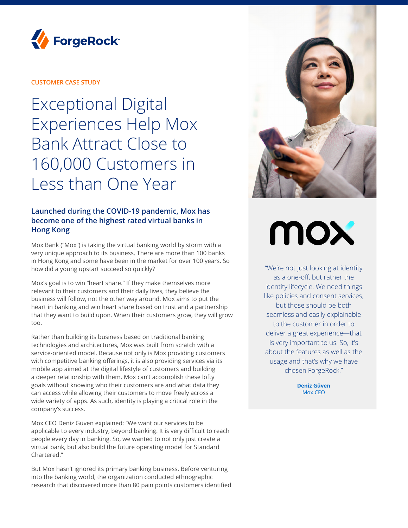

#### **CUSTOMER CASE STUDY**

Exceptional Digital Experiences Help Mox Bank Attract Close to 160,000 Customers in Less than One Year

### **Launched during the COVID-19 pandemic, Mox has become one of the highest rated virtual banks in Hong Kong**

Mox Bank ("Mox") is taking the virtual banking world by storm with a very unique approach to its business. There are more than 100 banks in Hong Kong and some have been in the market for over 100 years. So how did a young upstart succeed so quickly?

Mox's goal is to win "heart share." If they make themselves more relevant to their customers and their daily lives, they believe the business will follow, not the other way around. Mox aims to put the heart in banking and win heart share based on trust and a partnership that they want to build upon. When their customers grow, they will grow too.

Rather than building its business based on traditional banking technologies and architectures, Mox was built from scratch with a service-oriented model. Because not only is Mox providing customers with competitive banking offerings, it is also providing services via its mobile app aimed at the digital lifestyle of customers and building a deeper relationship with them. Mox can't accomplish these lofty goals without knowing who their customers are and what data they can access while allowing their customers to move freely across a wide variety of apps. As such, identity is playing a critical role in the company's success.

Mox CEO Deniz Güven explained: "We want our services to be applicable to every industry, beyond banking. It is very difficult to reach people every day in banking. So, we wanted to not only just create a virtual bank, but also build the future operating model for Standard Chartered."

But Mox hasn't ignored its primary banking business. Before venturing into the banking world, the organization conducted ethnographic research that discovered more than 80 pain points customers identified



# MOX

"We're not just looking at identity as a one-off, but rather the identity lifecycle. We need things like policies and consent services, but those should be both seamless and easily explainable to the customer in order to deliver a great experience—that is very important to us. So, it's about the features as well as the usage and that's why we have chosen ForgeRock."

> **Deniz Güven**  Mox CEO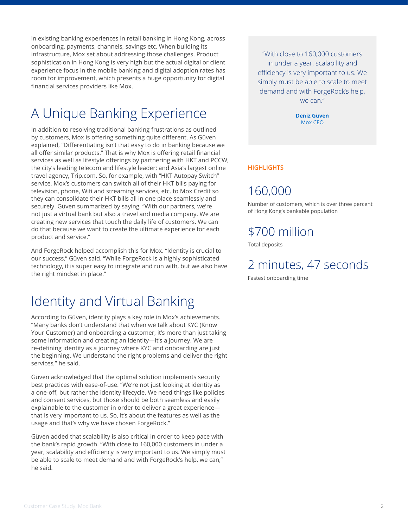in existing banking experiences in retail banking in Hong Kong, across onboarding, payments, channels, savings etc. When building its infrastructure, Mox set about addressing those challenges. Product sophistication in Hong Kong is very high but the actual digital or client experience focus in the mobile banking and digital adoption rates has room for improvement, which presents a huge opportunity for digital financial services providers like Mox.

# A Unique Banking Experience

In addition to resolving traditional banking frustrations as outlined by customers, Mox is offering something quite different. As Güven explained, "Differentiating isn't that easy to do in banking because we all offer similar products." That is why Mox is offering retail financial services as well as lifestyle offerings by partnering with HKT and PCCW, the city's leading telecom and lifestyle leader; and Asia's largest online travel agency, Trip.com. So, for example, with "HKT Autopay Switch" service, Mox's customers can switch all of their HKT bills paying for television, phone, Wifi and streaming services, etc. to Mox Credit so they can consolidate their HKT bills all in one place seamlessly and securely. Güven summarized by saying, "With our partners, we're not just a virtual bank but also a travel and media company. We are creating new services that touch the daily life of customers. We can do that because we want to create the ultimate experience for each product and service."

And ForgeRock helped accomplish this for Mox. "Identity is crucial to our success," Güven said. "While ForgeRock is a highly sophisticated technology, it is super easy to integrate and run with, but we also have the right mindset in place."

## Identity and Virtual Banking

According to Güven, identity plays a key role in Mox's achievements. "Many banks don't understand that when we talk about KYC (Know Your Customer) and onboarding a customer, it's more than just taking some information and creating an identity—it's a journey. We are re-defining identity as a journey where KYC and onboarding are just the beginning. We understand the right problems and deliver the right services," he said.

Güven acknowledged that the optimal solution implements security best practices with ease-of-use. "We're not just looking at identity as a one-off, but rather the identity lifecycle. We need things like policies and consent services, but those should be both seamless and easily explainable to the customer in order to deliver a great experience that is very important to us. So, it's about the features as well as the usage and that's why we have chosen ForgeRock."

Güven added that scalability is also critical in order to keep pace with the bank's rapid growth. "With close to 160,000 customers in under a year, scalability and efficiency is very important to us. We simply must be able to scale to meet demand and with ForgeRock's help, we can," he said.

"With close to 160,000 customers in under a year, scalability and efficiency is very important to us. We simply must be able to scale to meet demand and with ForgeRock's help, we can."

> **Deniz Güven**  Mox CEO

#### **HIGHLIGHTS**

## 160,000

Number of customers, which is over three percent of Hong Kong's bankable population

## \$700 million

Total deposits

## 2 minutes, 47 seconds

Fastest onboarding time